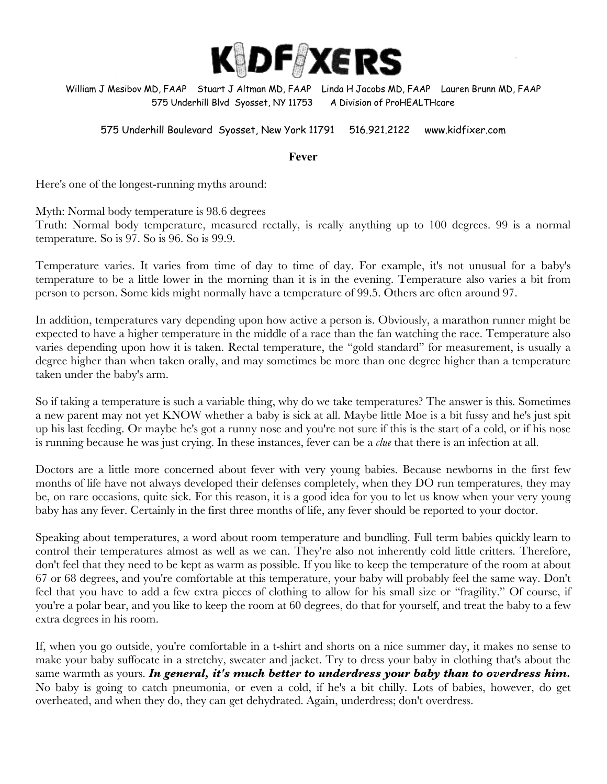

William J Mesibov MD, FAAP Stuart J Altman MD, FAAP Linda H Jacobs MD, FAAP Lauren Brunn MD, FAAP 575 Underhill Blvd Syosset, NY 11753 A Division of ProHEALTHcare

#### 575 Underhill Boulevard Syosset, New York 11791 516.921.2122 www.kidfixer.com

**Fever**

Here's one of the longest-running myths around:

Myth: Normal body temperature is 98.6 degrees

Truth: Normal body temperature, measured rectally, is really anything up to 100 degrees. 99 is a normal temperature. So is 97. So is 96. So is 99.9.

Temperature varies. It varies from time of day to time of day. For example, it's not unusual for a baby's temperature to be a little lower in the morning than it is in the evening. Temperature also varies a bit from person to person. Some kids might normally have a temperature of 99.5. Others are often around 97.

In addition, temperatures vary depending upon how active a person is. Obviously, a marathon runner might be expected to have a higher temperature in the middle of a race than the fan watching the race. Temperature also varies depending upon how it is taken. Rectal temperature, the "gold standard" for measurement, is usually a degree higher than when taken orally, and may sometimes be more than one degree higher than a temperature taken under the baby's arm.

So if taking a temperature is such a variable thing, why do we take temperatures? The answer is this. Sometimes a new parent may not yet KNOW whether a baby is sick at all. Maybe little Moe is a bit fussy and he's just spit up his last feeding. Or maybe he's got a runny nose and you're not sure if this is the start of a cold, or if his nose is running because he was just crying. In these instances, fever can be a *clue* that there is an infection at all.

Doctors are a little more concerned about fever with very young babies. Because newborns in the first few months of life have not always developed their defenses completely, when they DO run temperatures, they may be, on rare occasions, quite sick. For this reason, it is a good idea for you to let us know when your very young baby has any fever. Certainly in the first three months of life, any fever should be reported to your doctor.

Speaking about temperatures, a word about room temperature and bundling. Full term babies quickly learn to control their temperatures almost as well as we can. They're also not inherently cold little critters. Therefore, don't feel that they need to be kept as warm as possible. If you like to keep the temperature of the room at about 67 or 68 degrees, and you're comfortable at this temperature, your baby will probably feel the same way. Don't feel that you have to add a few extra pieces of clothing to allow for his small size or "fragility." Of course, if you're a polar bear, and you like to keep the room at 60 degrees, do that for yourself, and treat the baby to a few extra degrees in his room.

If, when you go outside, you're comfortable in a t-shirt and shorts on a nice summer day, it makes no sense to make your baby suffocate in a stretchy, sweater and jacket. Try to dress your baby in clothing that's about the same warmth as yours. *In general, it's much better to underdress your baby than to overdress him.*  No baby is going to catch pneumonia, or even a cold, if he's a bit chilly. Lots of babies, however, do get overheated, and when they do, they can get dehydrated. Again, underdress; don't overdress.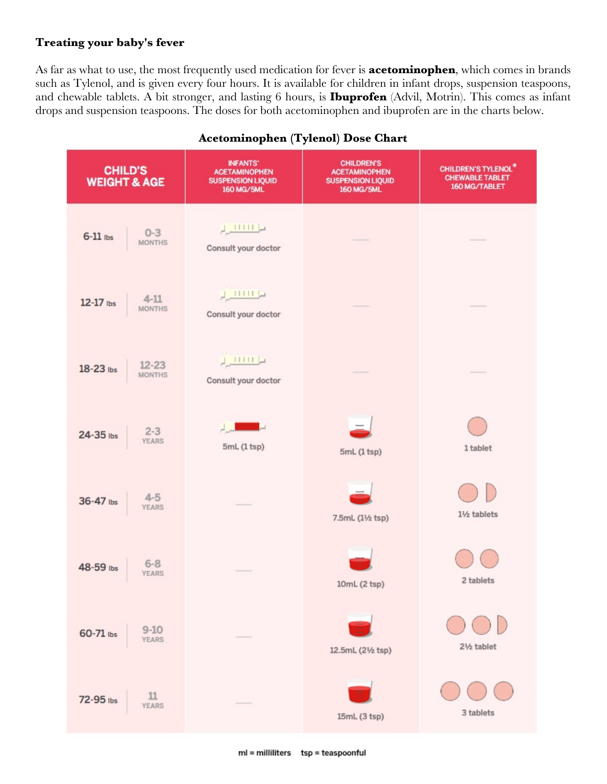#### **Treating your baby's fever**

As far as what to use, the most frequently used medication for fever is **acetominophen**, which comes in brands such as Tylenol, and is given every four hours. It is available for children in infant drops, suspension teaspoons, and chewable tablets. A bit stronger, and lasting 6 hours, is **Ibuprofen** (Advil, Motrin). This comes as infant drops and suspension teaspoons. The doses for both acetominophen and ibuprofen are in the charts below.

| <b>CHILD'S</b><br><b>WEIGHT &amp; AGE</b> | <b>INFANTS'</b><br><b>ACETAMINOPHEN</b><br><b>SUSPENSION LIQUID</b><br>160 MG/5ML                                                              | <b>CHILDREN'S</b><br><b>ACETAMINOPHEN</b><br><b>SUSPENSION LIQUID</b><br><b>160 MG/5ML</b> | <b>CHILDREN'S TYLENOL®</b><br><b>CHEWABLE TABLET</b><br>160 MG/TABLET |  |
|-------------------------------------------|------------------------------------------------------------------------------------------------------------------------------------------------|--------------------------------------------------------------------------------------------|-----------------------------------------------------------------------|--|
| $6-11$ ibs $0-3$<br>MONTHS                | $\mu$ 11111 $\mu$<br>Consult your doctor                                                                                                       |                                                                                            |                                                                       |  |
| 12-17 lbs $4-11$ MONTHS                   | $\frac{1}{\sqrt{2}}$<br>Consult your doctor                                                                                                    |                                                                                            |                                                                       |  |
| $18-23$ lbs $12-23$<br>MONTHS             | $\frac{1}{\sqrt{2}}\frac{1}{1}\frac{1}{1}\frac{1}{1}\frac{1}{1}\frac{1}{1}\frac{1}{1}\frac{1}{1}\frac{1}{1}\frac{1}{1}$<br>Consult your doctor |                                                                                            |                                                                       |  |
| $24-35$ lbs $2-3$<br>YEARS                | 5mL (1 tsp)                                                                                                                                    | 5mL (1 tsp)                                                                                | 1 tablet                                                              |  |
| 36-47 lbs $4-5$<br>YEARS                  |                                                                                                                                                | 7.5mL (11/2 tsp)                                                                           | 11/2 tablets                                                          |  |
| 48-59 lbs 6-8                             |                                                                                                                                                | 10mL (2 tsp)                                                                               | 2 tablets                                                             |  |
| $9-10$<br>YEARS<br>60-71 lbs              |                                                                                                                                                | 12.5mL (21/2 tsp)                                                                          | 21/2 tablet                                                           |  |
| $\frac{11}{\text{YEARS}}$<br>72-95 lbs    |                                                                                                                                                | 15mL (3 tsp)                                                                               | 3 tablets                                                             |  |

## **Acetominophen (Tylenol) Dose Chart**